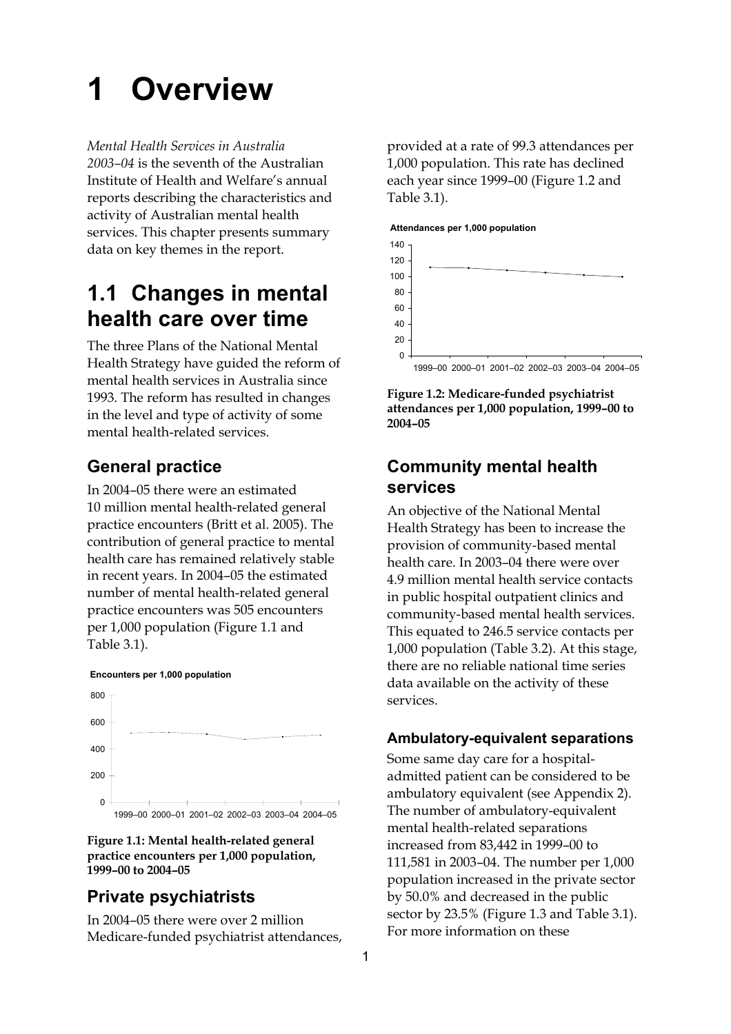# **1 Overview**

*Mental Health Services in Australia* 

*2003–04* is the seventh of the Australian Institute of Health and Welfare's annual reports describing the characteristics and activity of Australian mental health services. This chapter presents summary data on key themes in the report.

## **1.1 Changes in mental health care over time**

The three Plans of the National Mental Health Strategy have guided the reform of mental health services in Australia since 1993. The reform has resulted in changes in the level and type of activity of some mental health-related services.

## **General practice**

In 2004–05 there were an estimated 10 million mental health-related general practice encounters (Britt et al. 2005). The contribution of general practice to mental health care has remained relatively stable in recent years. In 2004–05 the estimated number of mental health-related general practice encounters was 505 encounters per 1,000 population (Figure 1.1 and Table 3.1).



**Figure 1.1: Mental health-related general practice encounters per 1,000 population, 1999–00 to 2004–05** 

## **Private psychiatrists**

In 2004–05 there were over 2 million Medicare-funded psychiatrist attendances,

provided at a rate of 99.3 attendances per 1,000 population. This rate has declined each year since 1999–00 (Figure 1.2 and Table 3.1).

#### **Attendances per 1,000 population**



**Figure 1.2: Medicare-funded psychiatrist attendances per 1,000 population, 1999–00 to 2004–05** 

## **Community mental health services**

An objective of the National Mental Health Strategy has been to increase the provision of community-based mental health care. In 2003–04 there were over 4.9 million mental health service contacts in public hospital outpatient clinics and community-based mental health services. This equated to 246.5 service contacts per 1,000 population (Table 3.2). At this stage, there are no reliable national time series data available on the activity of these services.

#### **Ambulatory-equivalent separations**

Some same day care for a hospitaladmitted patient can be considered to be ambulatory equivalent (see Appendix 2). The number of ambulatory-equivalent mental health-related separations increased from 83,442 in 1999–00 to 111,581 in 2003–04. The number per 1,000 population increased in the private sector by 50.0% and decreased in the public sector by 23.5% (Figure 1.3 and Table 3.1). For more information on these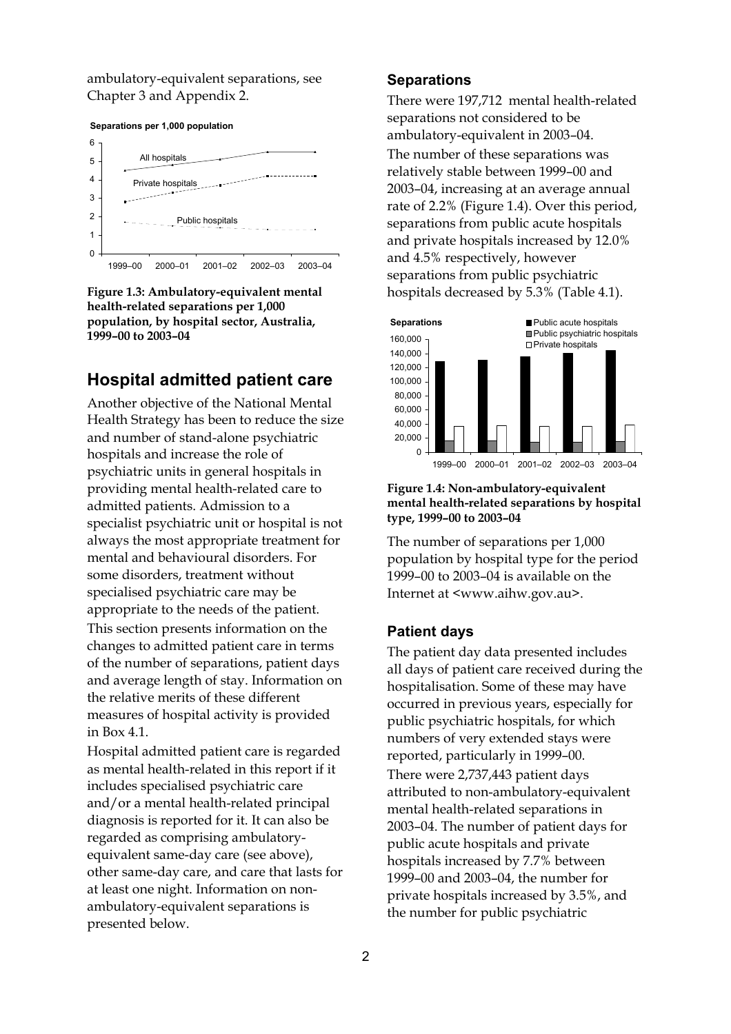ambulatory-equivalent separations, see Chapter 3 and Appendix 2.





**Figure 1.3: Ambulatory-equivalent mental health-related separations per 1,000 population, by hospital sector, Australia, 1999–00 to 2003–04** 

## **Hospital admitted patient care**

Another objective of the National Mental Health Strategy has been to reduce the size and number of stand-alone psychiatric hospitals and increase the role of psychiatric units in general hospitals in providing mental health-related care to admitted patients. Admission to a specialist psychiatric unit or hospital is not always the most appropriate treatment for mental and behavioural disorders. For some disorders, treatment without specialised psychiatric care may be appropriate to the needs of the patient. This section presents information on the changes to admitted patient care in terms of the number of separations, patient days and average length of stay. Information on the relative merits of these different measures of hospital activity is provided in Box 4.1.

Hospital admitted patient care is regarded as mental health-related in this report if it includes specialised psychiatric care and/or a mental health-related principal diagnosis is reported for it. It can also be regarded as comprising ambulatoryequivalent same-day care (see above), other same-day care, and care that lasts for at least one night. Information on nonambulatory-equivalent separations is presented below.

#### **Separations**

There were 197,712 mental health-related separations not considered to be ambulatory-equivalent in 2003–04. The number of these separations was relatively stable between 1999–00 and 2003–04, increasing at an average annual rate of 2.2% (Figure 1.4). Over this period, separations from public acute hospitals and private hospitals increased by 12.0% and 4.5% respectively, however separations from public psychiatric hospitals decreased by 5.3% (Table 4.1).



#### **Figure 1.4: Non-ambulatory-equivalent mental health-related separations by hospital type, 1999–00 to 2003–04**

The number of separations per 1,000 population by hospital type for the period 1999–00 to 2003–04 is available on the Internet at <www.aihw.gov.au>.

#### **Patient days**

The patient day data presented includes all days of patient care received during the hospitalisation. Some of these may have occurred in previous years, especially for public psychiatric hospitals, for which numbers of very extended stays were reported, particularly in 1999–00. There were 2,737,443 patient days attributed to non-ambulatory-equivalent mental health-related separations in 2003–04. The number of patient days for public acute hospitals and private hospitals increased by 7.7% between 1999–00 and 2003–04, the number for private hospitals increased by 3.5%, and the number for public psychiatric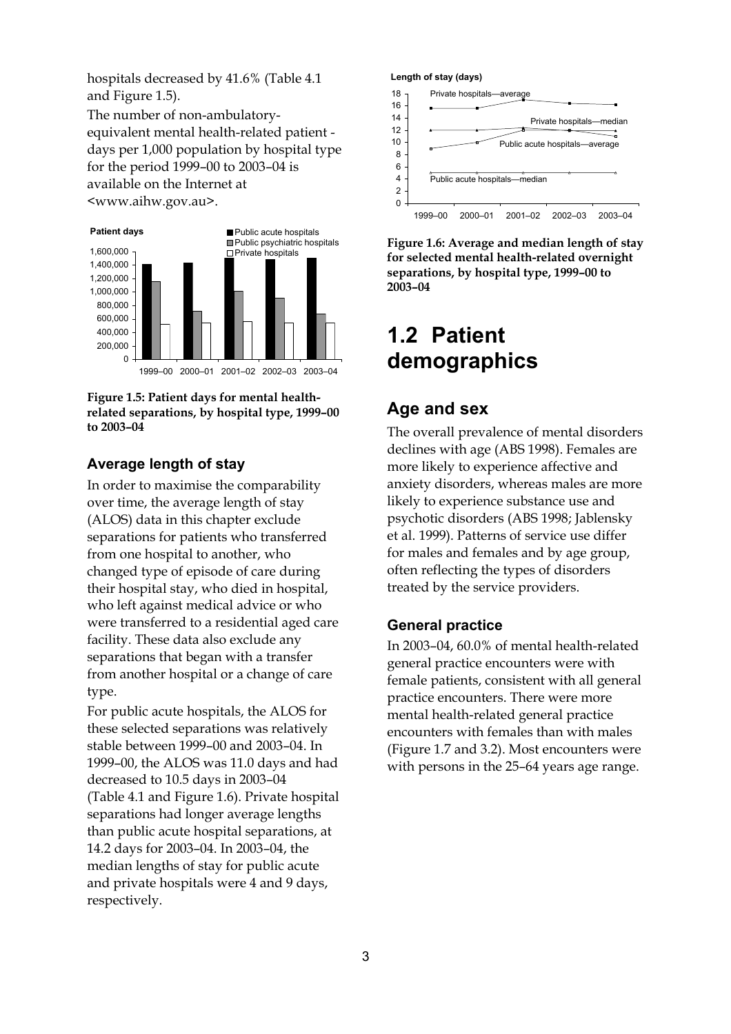hospitals decreased by 41.6% (Table 4.1 and Figure 1.5).

The number of non-ambulatoryequivalent mental health-related patient days per 1,000 population by hospital type for the period 1999–00 to 2003–04 is available on the Internet at <www.aihw.gov.au>.





#### **Average length of stay**

In order to maximise the comparability over time, the average length of stay (ALOS) data in this chapter exclude separations for patients who transferred from one hospital to another, who changed type of episode of care during their hospital stay, who died in hospital, who left against medical advice or who were transferred to a residential aged care facility. These data also exclude any separations that began with a transfer from another hospital or a change of care type.

For public acute hospitals, the ALOS for these selected separations was relatively stable between 1999–00 and 2003–04. In 1999–00, the ALOS was 11.0 days and had decreased to 10.5 days in 2003–04 (Table 4.1 and Figure 1.6). Private hospital separations had longer average lengths than public acute hospital separations, at 14.2 days for 2003–04. In 2003–04, the median lengths of stay for public acute and private hospitals were 4 and 9 days, respectively.



**Figure 1.6: Average and median length of stay for selected mental health-related overnight separations, by hospital type, 1999–00 to 2003–04** 

## **1.2 Patient demographics**

### **Age and sex**

The overall prevalence of mental disorders declines with age (ABS 1998). Females are more likely to experience affective and anxiety disorders, whereas males are more likely to experience substance use and psychotic disorders (ABS 1998; Jablensky et al. 1999). Patterns of service use differ for males and females and by age group, often reflecting the types of disorders treated by the service providers.

#### **General practice**

In 2003–04, 60.0% of mental health-related general practice encounters were with female patients, consistent with all general practice encounters. There were more mental health-related general practice encounters with females than with males (Figure 1.7 and 3.2). Most encounters were with persons in the 25–64 years age range.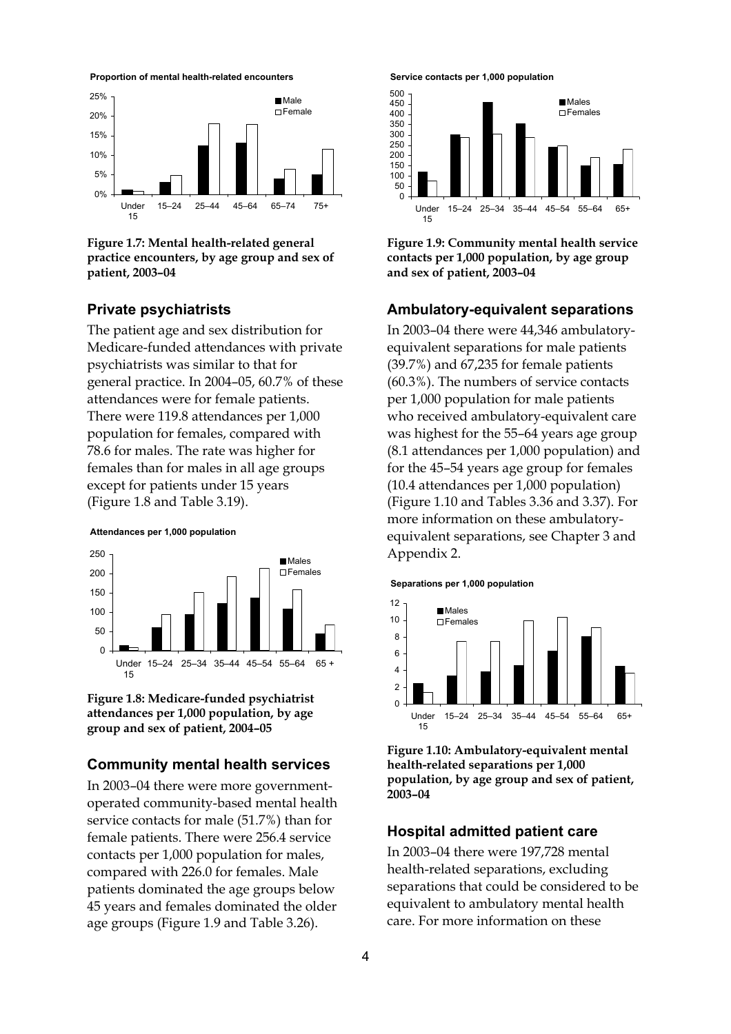



**Figure 1.7: Mental health-related general practice encounters, by age group and sex of patient, 2003–04** 

#### **Private psychiatrists**

The patient age and sex distribution for Medicare-funded attendances with private psychiatrists was similar to that for general practice. In 2004–05, 60.7% of these attendances were for female patients. There were 119.8 attendances per 1,000 population for females, compared with 78.6 for males. The rate was higher for females than for males in all age groups except for patients under 15 years (Figure 1.8 and Table 3.19).

**Attendances per 1,000 population**



**Figure 1.8: Medicare-funded psychiatrist attendances per 1,000 population, by age group and sex of patient, 2004–05** 

#### **Community mental health services**

In 2003–04 there were more governmentoperated community-based mental health service contacts for male (51.7%) than for female patients. There were 256.4 service contacts per 1,000 population for males, compared with 226.0 for females. Male patients dominated the age groups below 45 years and females dominated the older age groups (Figure 1.9 and Table 3.26).





**Figure 1.9: Community mental health service contacts per 1,000 population, by age group and sex of patient, 2003–04** 

#### **Ambulatory-equivalent separations**

In 2003–04 there were 44,346 ambulatoryequivalent separations for male patients (39.7%) and 67,235 for female patients (60.3%). The numbers of service contacts per 1,000 population for male patients who received ambulatory-equivalent care was highest for the 55–64 years age group (8.1 attendances per 1,000 population) and for the 45–54 years age group for females (10.4 attendances per 1,000 population) (Figure 1.10 and Tables 3.36 and 3.37). For more information on these ambulatoryequivalent separations, see Chapter 3 and Appendix 2.

**Separations per 1,000 population**



**Figure 1.10: Ambulatory-equivalent mental health-related separations per 1,000 population, by age group and sex of patient, 2003–04** 

#### **Hospital admitted patient care**

In 2003–04 there were 197,728 mental health-related separations, excluding separations that could be considered to be equivalent to ambulatory mental health care. For more information on these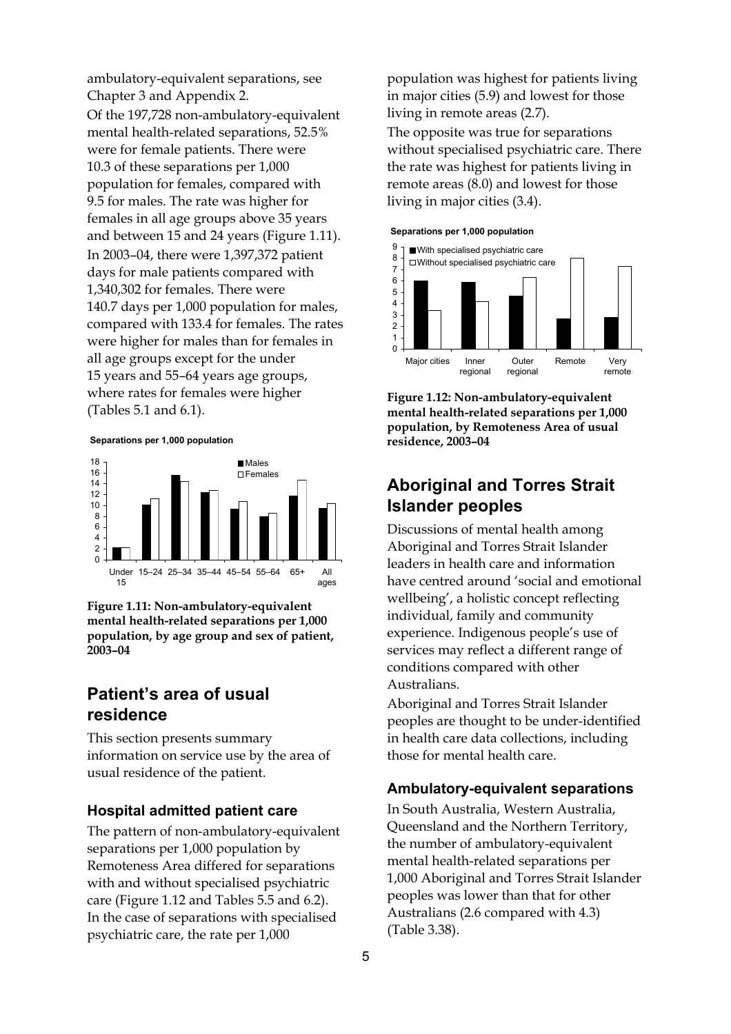ambulatory-equivalent separations, see Chapter 3 and Appendix 2.

Of the 197,728 non-ambulatory-equivalent mental health-related separations, 52.5% were for female patients. There were 10.3 of these separations per 1,000 population for females, compared with 9.5 for males. The rate was higher for females in all age groups above 35 years and between 15 and 24 years (Figure 1.11). In 2003–04, there were 1,397,372 patient days for male patients compared with 1,340,302 for females. There were 140.7 days per 1,000 population for males, compared with 133.4 for females. The rates were higher for males than for females in all age groups except for the under 15 years and 55–64 years age groups, where rates for females were higher (Tables 5.1 and 6.1).

**Separations per 1,000 population**



**Figure 1.11: Non-ambulatory-equivalent mental health-related separations per 1,000 population, by age group and sex of patient, 2003–04** 

## **Patient's area of usual residence**

This section presents summary information on service use by the area of usual residence of the patient.

#### **Hospital admitted patient care**

The pattern of non-ambulatory-equivalent separations per 1,000 population by Remoteness Area differed for separations with and without specialised psychiatric care (Figure 1.12 and Tables 5.5 and 6.2). In the case of separations with specialised psychiatric care, the rate per 1,000

population was highest for patients living in major cities (5.9) and lowest for those living in remote areas (2.7).

The opposite was true for separations without specialised psychiatric care. There the rate was highest for patients living in remote areas (8.0) and lowest for those living in major cities (3.4).





**Figure 1.12: Non-ambulatory-equivalent mental health-related separations per 1,000 population, by Remoteness Area of usual residence, 2003–04** 

## **Aboriginal and Torres Strait Islander peoples**

Discussions of mental health among Aboriginal and Torres Strait Islander leaders in health care and information have centred around 'social and emotional wellbeing', a holistic concept reflecting individual, family and community experience. Indigenous people's use of services may reflect a different range of conditions compared with other Australians.

Aboriginal and Torres Strait Islander peoples are thought to be under-identified in health care data collections, including those for mental health care.

#### **Ambulatory-equivalent separations**

In South Australia, Western Australia, Queensland and the Northern Territory, the number of ambulatory-equivalent mental health-related separations per 1,000 Aboriginal and Torres Strait Islander peoples was lower than that for other Australians (2.6 compared with 4.3) (Table 3.38).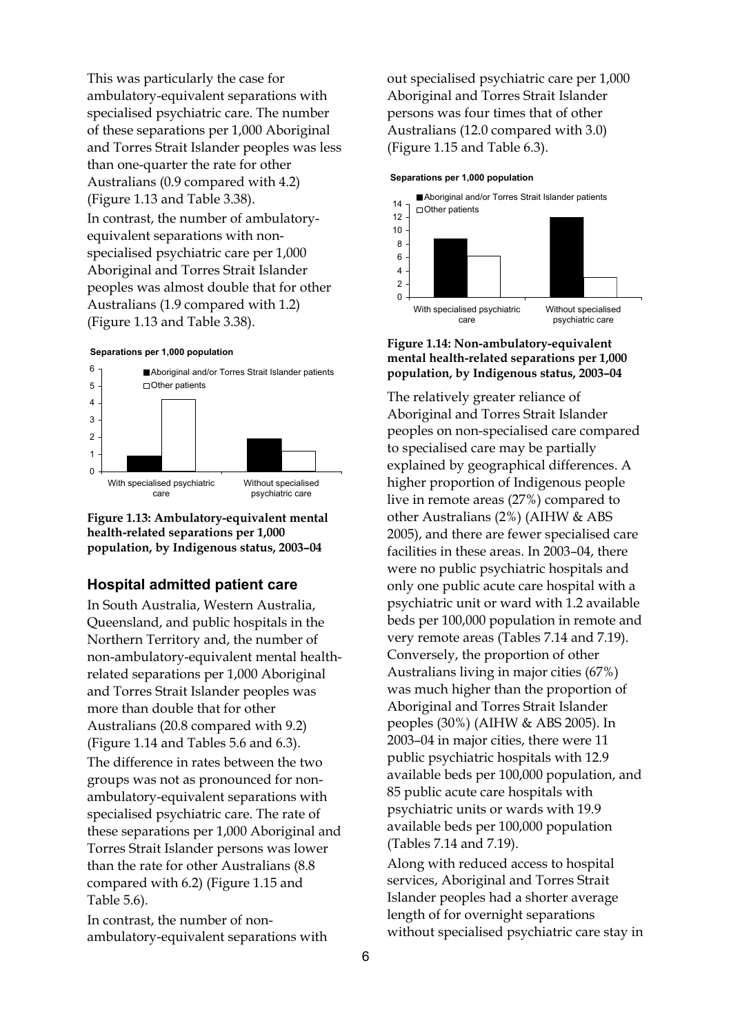This was particularly the case for ambulatory-equivalent separations with specialised psychiatric care. The number of these separations per 1,000 Aboriginal and Torres Strait Islander peoples was less than one-quarter the rate for other Australians (0.9 compared with 4.2) (Figure 1.13 and Table 3.38). In contrast, the number of ambulatoryequivalent separations with nonspecialised psychiatric care per 1,000 Aboriginal and Torres Strait Islander peoples was almost double that for other Australians (1.9 compared with 1.2) (Figure 1.13 and Table 3.38).

#### **Separations per 1,000 population**



**Figure 1.13: Ambulatory-equivalent mental health-related separations per 1,000 population, by Indigenous status, 2003–04** 

#### **Hospital admitted patient care**

In South Australia, Western Australia, Queensland, and public hospitals in the Northern Territory and, the number of non-ambulatory-equivalent mental healthrelated separations per 1,000 Aboriginal and Torres Strait Islander peoples was more than double that for other Australians (20.8 compared with 9.2) (Figure 1.14 and Tables 5.6 and 6.3). The difference in rates between the two groups was not as pronounced for nonambulatory-equivalent separations with specialised psychiatric care. The rate of these separations per 1,000 Aboriginal and Torres Strait Islander persons was lower than the rate for other Australians (8.8 compared with 6.2) (Figure 1.15 and Table 5.6).

In contrast, the number of nonambulatory-equivalent separations with out specialised psychiatric care per 1,000 Aboriginal and Torres Strait Islander persons was four times that of other Australians (12.0 compared with 3.0) (Figure 1.15 and Table 6.3).

#### **Separations per 1,000 population**



#### **Figure 1.14: Non-ambulatory-equivalent mental health-related separations per 1,000 population, by Indigenous status, 2003–04**

The relatively greater reliance of Aboriginal and Torres Strait Islander peoples on non-specialised care compared to specialised care may be partially explained by geographical differences. A higher proportion of Indigenous people live in remote areas (27%) compared to other Australians (2%) (AIHW & ABS 2005), and there are fewer specialised care facilities in these areas. In 2003–04, there were no public psychiatric hospitals and only one public acute care hospital with a psychiatric unit or ward with 1.2 available beds per 100,000 population in remote and very remote areas (Tables 7.14 and 7.19). Conversely, the proportion of other Australians living in major cities (67%) was much higher than the proportion of Aboriginal and Torres Strait Islander peoples (30%) (AIHW & ABS 2005). In 2003–04 in major cities, there were 11 public psychiatric hospitals with 12.9 available beds per 100,000 population, and 85 public acute care hospitals with psychiatric units or wards with 19.9 available beds per 100,000 population (Tables 7.14 and 7.19).

Along with reduced access to hospital services, Aboriginal and Torres Strait Islander peoples had a shorter average length of for overnight separations without specialised psychiatric care stay in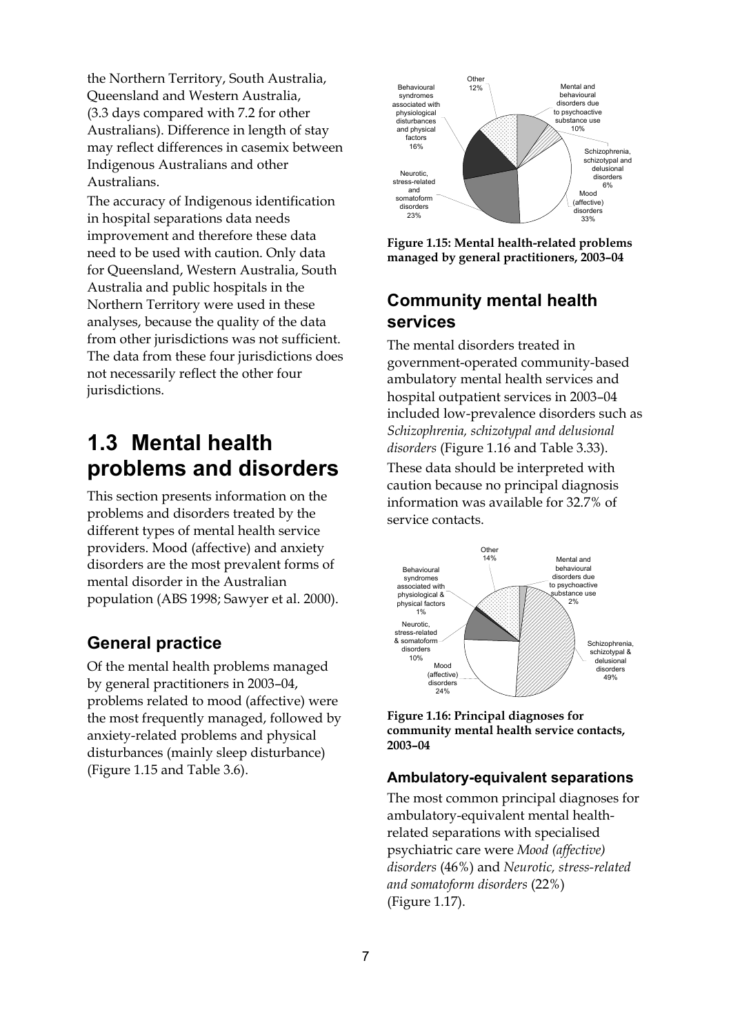the Northern Territory, South Australia, Queensland and Western Australia, (3.3 days compared with 7.2 for other Australians). Difference in length of stay may reflect differences in casemix between Indigenous Australians and other Australians.

The accuracy of Indigenous identification in hospital separations data needs improvement and therefore these data need to be used with caution. Only data for Queensland, Western Australia, South Australia and public hospitals in the Northern Territory were used in these analyses, because the quality of the data from other jurisdictions was not sufficient. The data from these four jurisdictions does not necessarily reflect the other four jurisdictions.

## **1.3 Mental health problems and disorders**

This section presents information on the problems and disorders treated by the different types of mental health service providers. Mood (affective) and anxiety disorders are the most prevalent forms of mental disorder in the Australian population (ABS 1998; Sawyer et al. 2000).

### **General practice**

Of the mental health problems managed by general practitioners in 2003–04, problems related to mood (affective) were the most frequently managed, followed by anxiety-related problems and physical disturbances (mainly sleep disturbance) (Figure 1.15 and Table 3.6).



**Figure 1.15: Mental health-related problems managed by general practitioners, 2003–04** 

## **Community mental health services**

The mental disorders treated in government-operated community-based ambulatory mental health services and hospital outpatient services in 2003–04 included low-prevalence disorders such as *Schizophrenia, schizotypal and delusional disorders* (Figure 1.16 and Table 3.33). These data should be interpreted with caution because no principal diagnosis information was available for 32.7% of service contacts.



**Figure 1.16: Principal diagnoses for community mental health service contacts, 2003–04** 

#### **Ambulatory-equivalent separations**

The most common principal diagnoses for ambulatory-equivalent mental healthrelated separations with specialised psychiatric care were *Mood (affective) disorders* (46%) and *Neurotic, stress-related and somatoform disorders* (22%) (Figure 1.17).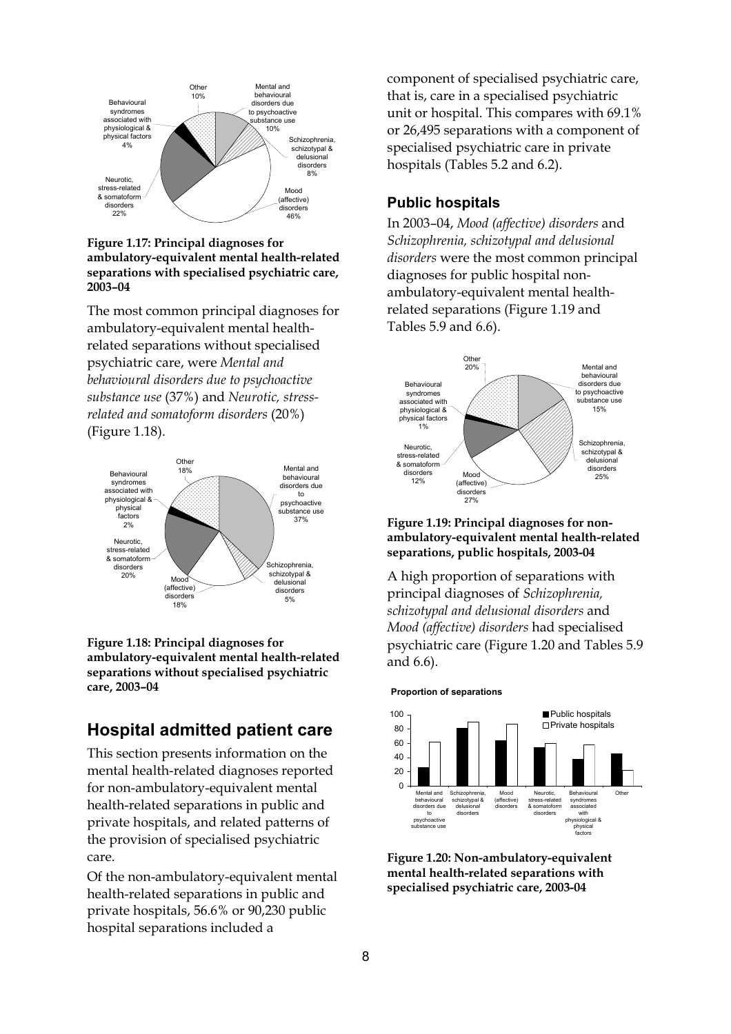

**Figure 1.17: Principal diagnoses for ambulatory-equivalent mental health-related separations with specialised psychiatric care, 2003–04** 

The most common principal diagnoses for ambulatory-equivalent mental healthrelated separations without specialised psychiatric care, were *Mental and behavioural disorders due to psychoactive substance use* (37%) and *Neurotic, stressrelated and somatoform disorders* (20%) (Figure 1.18).



**Figure 1.18: Principal diagnoses for ambulatory-equivalent mental health-related separations without specialised psychiatric care, 2003–04** 

### **Hospital admitted patient care**

This section presents information on the mental health-related diagnoses reported for non-ambulatory-equivalent mental health-related separations in public and private hospitals, and related patterns of the provision of specialised psychiatric care.

Of the non-ambulatory-equivalent mental health-related separations in public and private hospitals, 56.6% or 90,230 public hospital separations included a

component of specialised psychiatric care, that is, care in a specialised psychiatric unit or hospital. This compares with 69.1% or 26,495 separations with a component of specialised psychiatric care in private hospitals (Tables 5.2 and 6.2).

#### **Public hospitals**

In 2003–04, *Mood (affective) disorders* and *Schizophrenia, schizotypal and delusional disorders* were the most common principal diagnoses for public hospital nonambulatory-equivalent mental healthrelated separations (Figure 1.19 and Tables 5.9 and 6.6).



#### **Figure 1.19: Principal diagnoses for nonambulatory-equivalent mental health-related separations, public hospitals, 2003-04**

A high proportion of separations with principal diagnoses of *Schizophrenia, schizotypal and delusional disorders* and *Mood (affective) disorders* had specialised psychiatric care (Figure 1.20 and Tables 5.9 and 6.6).

**Proportion of separations**



**Figure 1.20: Non-ambulatory-equivalent mental health-related separations with specialised psychiatric care, 2003-04**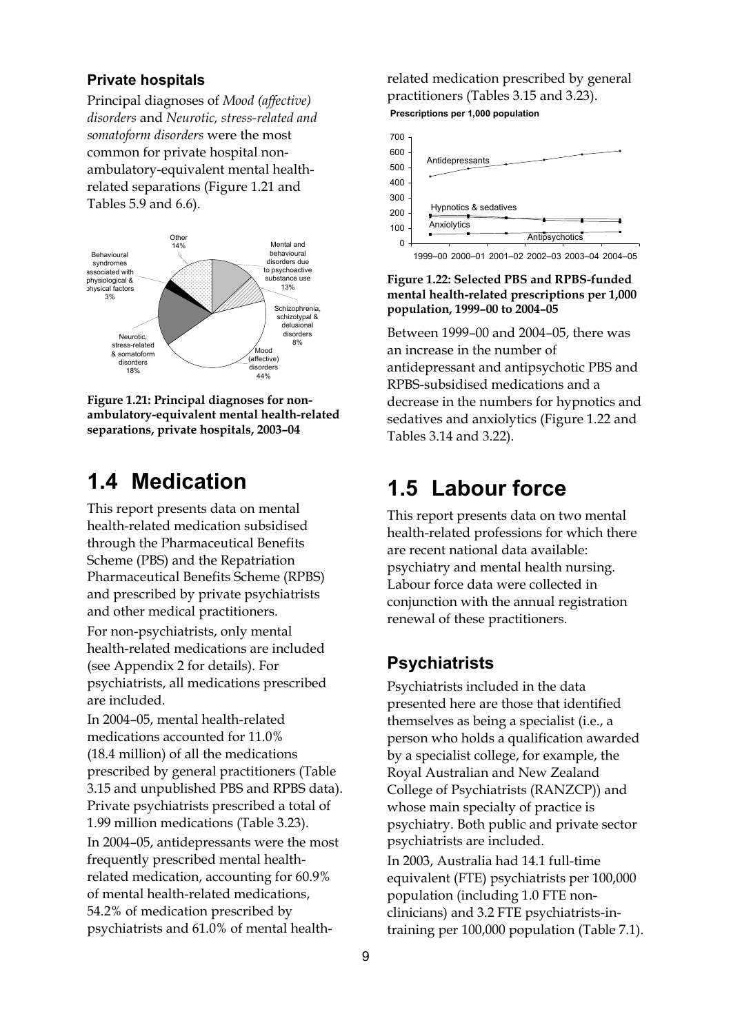#### **Private hospitals**

Principal diagnoses of *Mood (affective) disorders* and *Neurotic, stress-related and somatoform disorders* were the most common for private hospital nonambulatory-equivalent mental healthrelated separations (Figure 1.21 and Tables 5.9 and 6.6).



**Figure 1.21: Principal diagnoses for nonambulatory-equivalent mental health-related separations, private hospitals, 2003–04** 

## **1.4 Medication**

This report presents data on mental health-related medication subsidised through the Pharmaceutical Benefits Scheme (PBS) and the Repatriation Pharmaceutical Benefits Scheme (RPBS) and prescribed by private psychiatrists and other medical practitioners.

For non-psychiatrists, only mental health-related medications are included (see Appendix 2 for details). For psychiatrists, all medications prescribed are included.

In 2004–05, mental health-related medications accounted for 11.0% (18.4 million) of all the medications prescribed by general practitioners (Table 3.15 and unpublished PBS and RPBS data). Private psychiatrists prescribed a total of 1.99 million medications (Table 3.23). In 2004–05, antidepressants were the most frequently prescribed mental healthrelated medication, accounting for 60.9% of mental health-related medications, 54.2% of medication prescribed by psychiatrists and 61.0% of mental healthrelated medication prescribed by general practitioners (Tables 3.15 and 3.23). **Prescriptions per 1,000 population**



**Figure 1.22: Selected PBS and RPBS-funded mental health-related prescriptions per 1,000 population, 1999–00 to 2004–05** 

Between 1999–00 and 2004–05, there was an increase in the number of antidepressant and antipsychotic PBS and RPBS-subsidised medications and a decrease in the numbers for hypnotics and sedatives and anxiolytics (Figure 1.22 and Tables 3.14 and 3.22).

## **1.5 Labour force**

This report presents data on two mental health-related professions for which there are recent national data available: psychiatry and mental health nursing. Labour force data were collected in conjunction with the annual registration renewal of these practitioners.

#### **Psychiatrists**

Psychiatrists included in the data presented here are those that identified themselves as being a specialist (i.e., a person who holds a qualification awarded by a specialist college, for example, the Royal Australian and New Zealand College of Psychiatrists (RANZCP)) and whose main specialty of practice is psychiatry. Both public and private sector psychiatrists are included. In 2003, Australia had 14.1 full-time equivalent (FTE) psychiatrists per 100,000 population (including 1.0 FTE nonclinicians) and 3.2 FTE psychiatrists-intraining per 100,000 population (Table 7.1).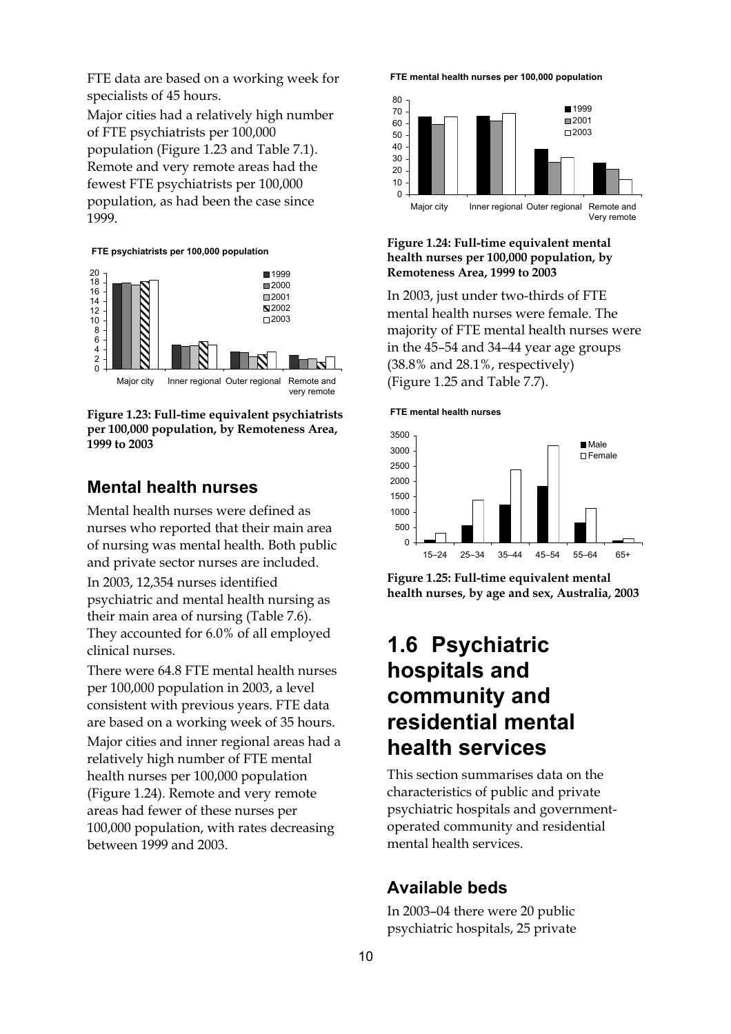FTE data are based on a working week for specialists of 45 hours.

Major cities had a relatively high number of FTE psychiatrists per 100,000 population (Figure 1.23 and Table 7.1). Remote and very remote areas had the fewest FTE psychiatrists per 100,000 population, as had been the case since 1999.

#### **FTE psychiatrists per 100,000 population**



**Figure 1.23: Full-time equivalent psychiatrists per 100,000 population, by Remoteness Area, 1999 to 2003** 

### **Mental health nurses**

Mental health nurses were defined as nurses who reported that their main area of nursing was mental health. Both public and private sector nurses are included. In 2003, 12,354 nurses identified psychiatric and mental health nursing as their main area of nursing (Table 7.6). They accounted for 6.0% of all employed clinical nurses.

There were 64.8 FTE mental health nurses per 100,000 population in 2003, a level consistent with previous years. FTE data are based on a working week of 35 hours.

Major cities and inner regional areas had a relatively high number of FTE mental health nurses per 100,000 population (Figure 1.24). Remote and very remote areas had fewer of these nurses per 100,000 population, with rates decreasing between 1999 and 2003.

**FTE mental health nurses per 100,000 population**



#### **Figure 1.24: Full-time equivalent mental health nurses per 100,000 population, by Remoteness Area, 1999 to 2003**

In 2003, just under two-thirds of FTE mental health nurses were female. The majority of FTE mental health nurses were in the 45–54 and 34–44 year age groups (38.8% and 28.1%, respectively) (Figure 1.25 and Table 7.7).

#### **FTE mental health nurses**



**Figure 1.25: Full-time equivalent mental health nurses, by age and sex, Australia, 2003** 

## **1.6 Psychiatric hospitals and community and residential mental health services**

This section summarises data on the characteristics of public and private psychiatric hospitals and governmentoperated community and residential mental health services.

### **Available beds**

In 2003–04 there were 20 public psychiatric hospitals, 25 private